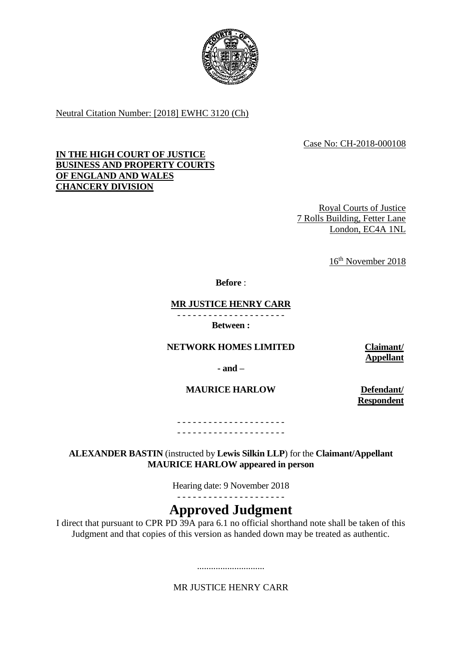

Neutral Citation Number: [2018] EWHC 3120 (Ch)

# Case No: CH-2018-000108

# **IN THE HIGH COURT OF JUSTICE BUSINESS AND PROPERTY COURTS OF ENGLAND AND WALES CHANCERY DIVISION**

Royal Courts of Justice 7 Rolls Building, Fetter Lane London, EC4A 1NL

16th November 2018

**Before** :

# **MR JUSTICE HENRY CARR**

- - - - - - - - - - - - - - - - - - - - - **Between :**

## **NETWORK HOMES LIMITED Claimant/**

**- and –**

**MAURICE HARLOW Defendant/** 

**Appellant**

**Respondent**

- - - - - - - - - - - - - - - - - - - - - - - - - - - - - - - - - - - - - - - - - -

## **ALEXANDER BASTIN** (instructed by **Lewis Silkin LLP**) for the **Claimant/Appellant MAURICE HARLOW appeared in person**

Hearing date: 9 November 2018

- - - - - - - - - - - - - - - - - - - - -

# **Approved Judgment**

I direct that pursuant to CPR PD 39A para 6.1 no official shorthand note shall be taken of this Judgment and that copies of this version as handed down may be treated as authentic.

MR JUSTICE HENRY CARR

.............................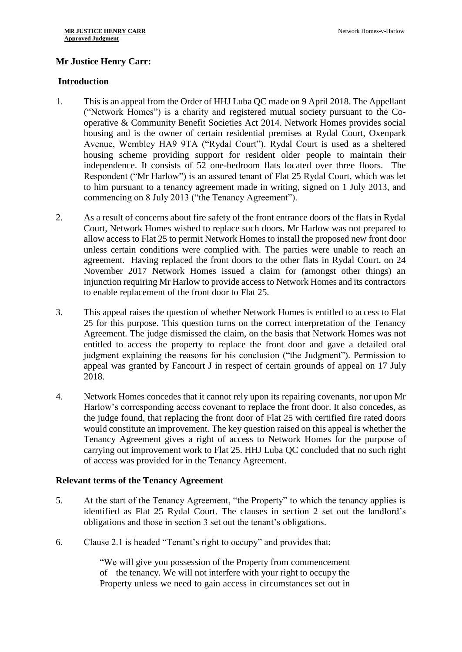# **Mr Justice Henry Carr:**

#### **Introduction**

- 1. This is an appeal from the Order of HHJ Luba QC made on 9 April 2018. The Appellant ("Network Homes") is a charity and registered mutual society pursuant to the Cooperative & Community Benefit Societies Act 2014. Network Homes provides social housing and is the owner of certain residential premises at Rydal Court, Oxenpark Avenue, Wembley HA9 9TA ("Rydal Court"). Rydal Court is used as a sheltered housing scheme providing support for resident older people to maintain their independence. It consists of 52 one-bedroom flats located over three floors. The Respondent ("Mr Harlow") is an assured tenant of Flat 25 Rydal Court, which was let to him pursuant to a tenancy agreement made in writing, signed on 1 July 2013, and commencing on 8 July 2013 ("the Tenancy Agreement").
- 2. As a result of concerns about fire safety of the front entrance doors of the flats in Rydal Court, Network Homes wished to replace such doors. Mr Harlow was not prepared to allow access to Flat 25 to permit Network Homes to install the proposed new front door unless certain conditions were complied with. The parties were unable to reach an agreement. Having replaced the front doors to the other flats in Rydal Court, on 24 November 2017 Network Homes issued a claim for (amongst other things) an injunction requiring Mr Harlow to provide access to Network Homes and its contractors to enable replacement of the front door to Flat 25.
- 3. This appeal raises the question of whether Network Homes is entitled to access to Flat 25 for this purpose. This question turns on the correct interpretation of the Tenancy Agreement. The judge dismissed the claim, on the basis that Network Homes was not entitled to access the property to replace the front door and gave a detailed oral judgment explaining the reasons for his conclusion ("the Judgment"). Permission to appeal was granted by Fancourt J in respect of certain grounds of appeal on 17 July 2018.
- 4. Network Homes concedes that it cannot rely upon its repairing covenants, nor upon Mr Harlow's corresponding access covenant to replace the front door. It also concedes, as the judge found, that replacing the front door of Flat 25 with certified fire rated doors would constitute an improvement. The key question raised on this appeal is whether the Tenancy Agreement gives a right of access to Network Homes for the purpose of carrying out improvement work to Flat 25. HHJ Luba QC concluded that no such right of access was provided for in the Tenancy Agreement.

## **Relevant terms of the Tenancy Agreement**

- 5. At the start of the Tenancy Agreement, "the Property" to which the tenancy applies is identified as Flat 25 Rydal Court. The clauses in section 2 set out the landlord's obligations and those in section 3 set out the tenant's obligations.
- 6. Clause 2.1 is headed "Tenant's right to occupy" and provides that:

"We will give you possession of the Property from commencement of the tenancy. We will not interfere with your right to occupy the Property unless we need to gain access in circumstances set out in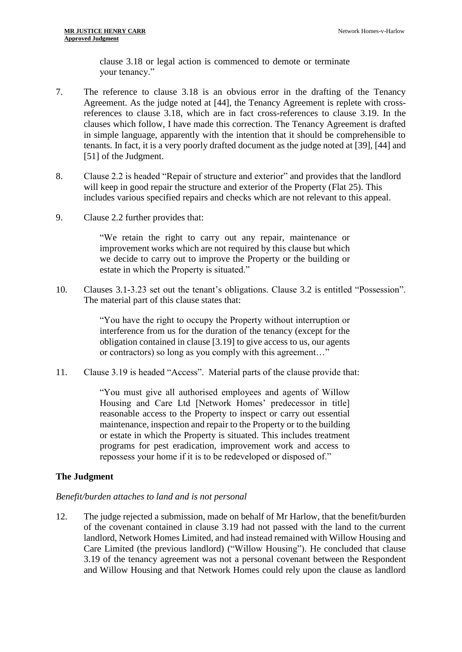clause 3.18 or legal action is commenced to demote or terminate your tenancy."

- 7. The reference to clause 3.18 is an obvious error in the drafting of the Tenancy Agreement. As the judge noted at [44], the Tenancy Agreement is replete with crossreferences to clause 3.18, which are in fact cross-references to clause 3.19. In the clauses which follow, I have made this correction. The Tenancy Agreement is drafted in simple language, apparently with the intention that it should be comprehensible to tenants. In fact, it is a very poorly drafted document as the judge noted at [39], [44] and [51] of the Judgment.
- 8. Clause 2.2 is headed "Repair of structure and exterior" and provides that the landlord will keep in good repair the structure and exterior of the Property (Flat 25). This includes various specified repairs and checks which are not relevant to this appeal.
- 9. Clause 2.2 further provides that:

"We retain the right to carry out any repair, maintenance or improvement works which are not required by this clause but which we decide to carry out to improve the Property or the building or estate in which the Property is situated."

10. Clauses 3.1-3.23 set out the tenant's obligations. Clause 3.2 is entitled "Possession". The material part of this clause states that:

> "You have the right to occupy the Property without interruption or interference from us for the duration of the tenancy (except for the obligation contained in clause [3.19] to give access to us, our agents or contractors) so long as you comply with this agreement…"

11. Clause 3.19 is headed "Access". Material parts of the clause provide that:

"You must give all authorised employees and agents of Willow Housing and Care Ltd [Network Homes' predecessor in title] reasonable access to the Property to inspect or carry out essential maintenance, inspection and repair to the Property or to the building or estate in which the Property is situated. This includes treatment programs for pest eradication, improvement work and access to repossess your home if it is to be redeveloped or disposed of."

## **The Judgment**

#### *Benefit/burden attaches to land and is not personal*

12. The judge rejected a submission, made on behalf of Mr Harlow, that the benefit/burden of the covenant contained in clause 3.19 had not passed with the land to the current landlord, Network Homes Limited, and had instead remained with Willow Housing and Care Limited (the previous landlord) ("Willow Housing"). He concluded that clause 3.19 of the tenancy agreement was not a personal covenant between the Respondent and Willow Housing and that Network Homes could rely upon the clause as landlord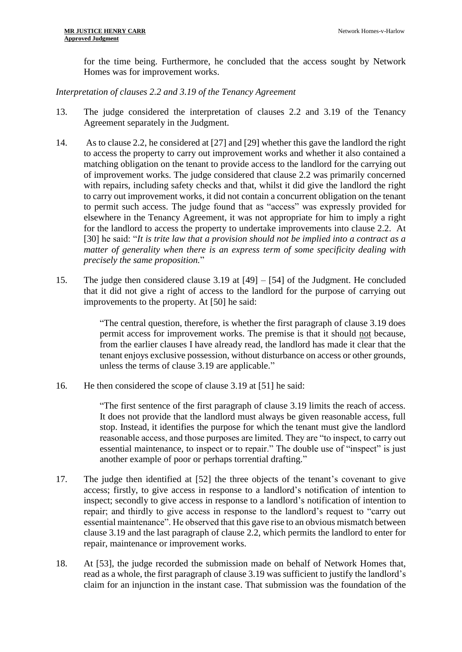for the time being. Furthermore, he concluded that the access sought by Network Homes was for improvement works.

# *Interpretation of clauses 2.2 and 3.19 of the Tenancy Agreement*

- 13. The judge considered the interpretation of clauses 2.2 and 3.19 of the Tenancy Agreement separately in the Judgment.
- 14. As to clause 2.2, he considered at [27] and [29] whether this gave the landlord the right to access the property to carry out improvement works and whether it also contained a matching obligation on the tenant to provide access to the landlord for the carrying out of improvement works. The judge considered that clause 2.2 was primarily concerned with repairs, including safety checks and that, whilst it did give the landlord the right to carry out improvement works, it did not contain a concurrent obligation on the tenant to permit such access. The judge found that as "access" was expressly provided for elsewhere in the Tenancy Agreement, it was not appropriate for him to imply a right for the landlord to access the property to undertake improvements into clause 2.2. At [30] he said: "*It is trite law that a provision should not be implied into a contract as a matter of generality when there is an express term of some specificity dealing with precisely the same proposition.*"
- 15. The judge then considered clause 3.19 at [49] [54] of the Judgment. He concluded that it did not give a right of access to the landlord for the purpose of carrying out improvements to the property. At [50] he said:

"The central question, therefore, is whether the first paragraph of clause 3.19 does permit access for improvement works. The premise is that it should not because, from the earlier clauses I have already read, the landlord has made it clear that the tenant enjoys exclusive possession, without disturbance on access or other grounds, unless the terms of clause 3.19 are applicable."

16. He then considered the scope of clause 3.19 at [51] he said:

"The first sentence of the first paragraph of clause 3.19 limits the reach of access. It does not provide that the landlord must always be given reasonable access, full stop. Instead, it identifies the purpose for which the tenant must give the landlord reasonable access, and those purposes are limited. They are "to inspect, to carry out essential maintenance, to inspect or to repair." The double use of "inspect" is just another example of poor or perhaps torrential drafting."

- 17. The judge then identified at [52] the three objects of the tenant's covenant to give access; firstly, to give access in response to a landlord's notification of intention to inspect; secondly to give access in response to a landlord's notification of intention to repair; and thirdly to give access in response to the landlord's request to "carry out essential maintenance". He observed that this gave rise to an obvious mismatch between clause 3.19 and the last paragraph of clause 2.2, which permits the landlord to enter for repair, maintenance or improvement works.
- 18. At [53], the judge recorded the submission made on behalf of Network Homes that, read as a whole, the first paragraph of clause 3.19 was sufficient to justify the landlord's claim for an injunction in the instant case. That submission was the foundation of the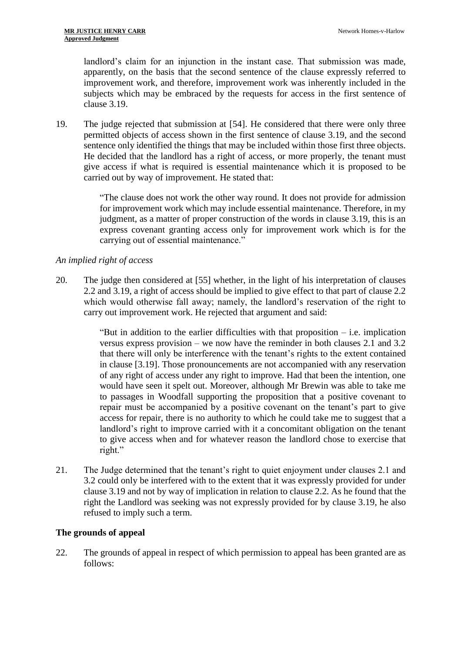landlord's claim for an injunction in the instant case. That submission was made, apparently, on the basis that the second sentence of the clause expressly referred to improvement work, and therefore, improvement work was inherently included in the subjects which may be embraced by the requests for access in the first sentence of clause 3.19.

19. The judge rejected that submission at [54]. He considered that there were only three permitted objects of access shown in the first sentence of clause 3.19, and the second sentence only identified the things that may be included within those first three objects. He decided that the landlord has a right of access, or more properly, the tenant must give access if what is required is essential maintenance which it is proposed to be carried out by way of improvement. He stated that:

> "The clause does not work the other way round. It does not provide for admission for improvement work which may include essential maintenance. Therefore, in my judgment, as a matter of proper construction of the words in clause 3.19, this is an express covenant granting access only for improvement work which is for the carrying out of essential maintenance."

# *An implied right of access*

20. The judge then considered at [55] whether, in the light of his interpretation of clauses 2.2 and 3.19, a right of access should be implied to give effect to that part of clause 2.2 which would otherwise fall away; namely, the landlord's reservation of the right to carry out improvement work. He rejected that argument and said:

> "But in addition to the earlier difficulties with that proposition – i.e. implication versus express provision – we now have the reminder in both clauses 2.1 and 3.2 that there will only be interference with the tenant's rights to the extent contained in clause [3.19]. Those pronouncements are not accompanied with any reservation of any right of access under any right to improve. Had that been the intention, one would have seen it spelt out. Moreover, although Mr Brewin was able to take me to passages in Woodfall supporting the proposition that a positive covenant to repair must be accompanied by a positive covenant on the tenant's part to give access for repair, there is no authority to which he could take me to suggest that a landlord's right to improve carried with it a concomitant obligation on the tenant to give access when and for whatever reason the landlord chose to exercise that right."

21. The Judge determined that the tenant's right to quiet enjoyment under clauses 2.1 and 3.2 could only be interfered with to the extent that it was expressly provided for under clause 3.19 and not by way of implication in relation to clause 2.2. As he found that the right the Landlord was seeking was not expressly provided for by clause 3.19, he also refused to imply such a term.

# **The grounds of appeal**

22. The grounds of appeal in respect of which permission to appeal has been granted are as follows: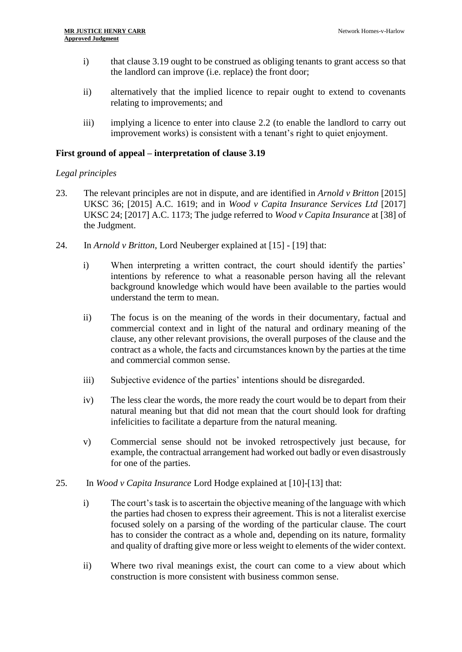- i) that clause 3.19 ought to be construed as obliging tenants to grant access so that the landlord can improve (i.e. replace) the front door;
- ii) alternatively that the implied licence to repair ought to extend to covenants relating to improvements; and
- iii) implying a licence to enter into clause 2.2 (to enable the landlord to carry out improvement works) is consistent with a tenant's right to quiet enjoyment.

# **First ground of appeal – interpretation of clause 3.19**

## *Legal principles*

- 23. The relevant principles are not in dispute, and are identified in *Arnold v Britton* [2015] UKSC 36; [2015] A.C. 1619; and in *Wood v Capita Insurance Services Ltd* [2017] UKSC 24; [2017] A.C. 1173; The judge referred to *Wood v Capita Insurance* at [38] of the Judgment.
- 24. In *Arnold v Britton*, Lord Neuberger explained at [15] [19] that:
	- i) When interpreting a written contract, the court should identify the parties' intentions by reference to what a reasonable person having all the relevant background knowledge which would have been available to the parties would understand the term to mean.
	- ii) The focus is on the meaning of the words in their documentary, factual and commercial context and in light of the natural and ordinary meaning of the clause, any other relevant provisions, the overall purposes of the clause and the contract as a whole, the facts and circumstances known by the parties at the time and commercial common sense.
	- iii) Subjective evidence of the parties' intentions should be disregarded.
	- iv) The less clear the words, the more ready the court would be to depart from their natural meaning but that did not mean that the court should look for drafting infelicities to facilitate a departure from the natural meaning.
	- v) Commercial sense should not be invoked retrospectively just because, for example, the contractual arrangement had worked out badly or even disastrously for one of the parties.
- 25. In *Wood v Capita Insurance* Lord Hodge explained at [10]-[13] that:
	- i) The court's task is to ascertain the objective meaning of the language with which the parties had chosen to express their agreement. This is not a literalist exercise focused solely on a parsing of the wording of the particular clause. The court has to consider the contract as a whole and, depending on its nature, formality and quality of drafting give more or less weight to elements of the wider context.
	- ii) Where two rival meanings exist, the court can come to a view about which construction is more consistent with business common sense.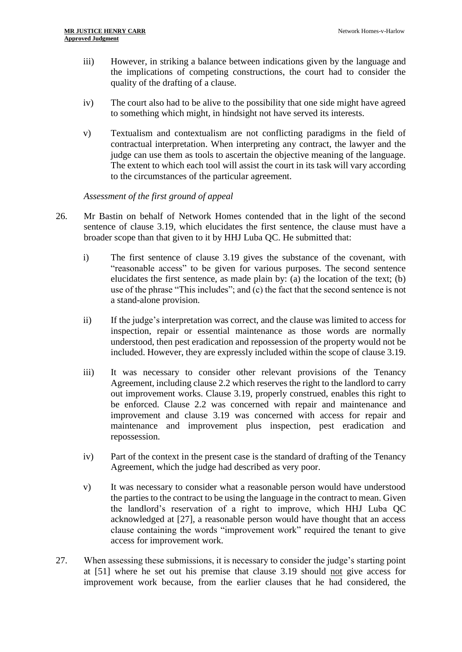- iii) However, in striking a balance between indications given by the language and the implications of competing constructions, the court had to consider the quality of the drafting of a clause.
- iv) The court also had to be alive to the possibility that one side might have agreed to something which might, in hindsight not have served its interests.
- v) Textualism and contextualism are not conflicting paradigms in the field of contractual interpretation. When interpreting any contract, the lawyer and the judge can use them as tools to ascertain the objective meaning of the language. The extent to which each tool will assist the court in its task will vary according to the circumstances of the particular agreement.

*Assessment of the first ground of appeal*

- 26. Mr Bastin on behalf of Network Homes contended that in the light of the second sentence of clause 3.19, which elucidates the first sentence, the clause must have a broader scope than that given to it by HHJ Luba QC. He submitted that:
	- i) The first sentence of clause 3.19 gives the substance of the covenant, with "reasonable access" to be given for various purposes. The second sentence elucidates the first sentence, as made plain by: (a) the location of the text; (b) use of the phrase "This includes"; and (c) the fact that the second sentence is not a stand-alone provision.
	- ii) If the judge's interpretation was correct, and the clause was limited to access for inspection, repair or essential maintenance as those words are normally understood, then pest eradication and repossession of the property would not be included. However, they are expressly included within the scope of clause 3.19.
	- iii) It was necessary to consider other relevant provisions of the Tenancy Agreement, including clause 2.2 which reserves the right to the landlord to carry out improvement works. Clause 3.19, properly construed, enables this right to be enforced. Clause 2.2 was concerned with repair and maintenance and improvement and clause 3.19 was concerned with access for repair and maintenance and improvement plus inspection, pest eradication and repossession.
	- iv) Part of the context in the present case is the standard of drafting of the Tenancy Agreement, which the judge had described as very poor.
	- v) It was necessary to consider what a reasonable person would have understood the parties to the contract to be using the language in the contract to mean. Given the landlord's reservation of a right to improve, which HHJ Luba QC acknowledged at [27], a reasonable person would have thought that an access clause containing the words "improvement work" required the tenant to give access for improvement work.
- 27. When assessing these submissions, it is necessary to consider the judge's starting point at [51] where he set out his premise that clause 3.19 should not give access for improvement work because, from the earlier clauses that he had considered, the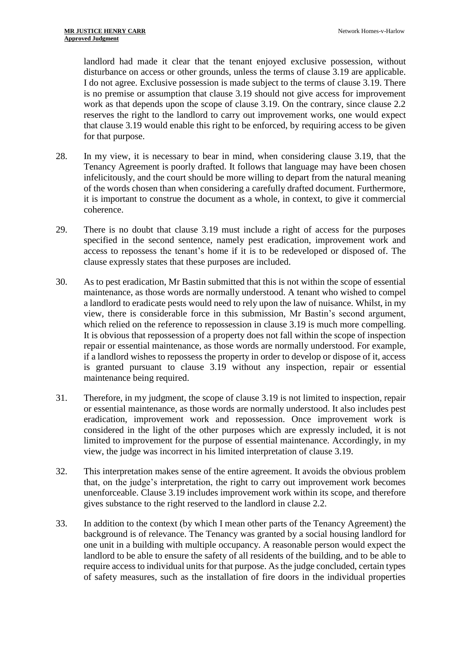landlord had made it clear that the tenant enjoyed exclusive possession, without disturbance on access or other grounds, unless the terms of clause 3.19 are applicable. I do not agree. Exclusive possession is made subject to the terms of clause 3.19. There is no premise or assumption that clause 3.19 should not give access for improvement work as that depends upon the scope of clause 3.19. On the contrary, since clause 2.2 reserves the right to the landlord to carry out improvement works, one would expect that clause 3.19 would enable this right to be enforced, by requiring access to be given for that purpose.

- 28. In my view, it is necessary to bear in mind, when considering clause 3.19, that the Tenancy Agreement is poorly drafted. It follows that language may have been chosen infelicitously, and the court should be more willing to depart from the natural meaning of the words chosen than when considering a carefully drafted document. Furthermore, it is important to construe the document as a whole, in context, to give it commercial coherence.
- 29. There is no doubt that clause 3.19 must include a right of access for the purposes specified in the second sentence, namely pest eradication, improvement work and access to repossess the tenant's home if it is to be redeveloped or disposed of. The clause expressly states that these purposes are included.
- 30. As to pest eradication, Mr Bastin submitted that this is not within the scope of essential maintenance, as those words are normally understood. A tenant who wished to compel a landlord to eradicate pests would need to rely upon the law of nuisance. Whilst, in my view, there is considerable force in this submission, Mr Bastin's second argument, which relied on the reference to repossession in clause 3.19 is much more compelling. It is obvious that repossession of a property does not fall within the scope of inspection repair or essential maintenance, as those words are normally understood. For example, if a landlord wishes to repossess the property in order to develop or dispose of it, access is granted pursuant to clause 3.19 without any inspection, repair or essential maintenance being required.
- 31. Therefore, in my judgment, the scope of clause 3.19 is not limited to inspection, repair or essential maintenance, as those words are normally understood. It also includes pest eradication, improvement work and repossession. Once improvement work is considered in the light of the other purposes which are expressly included, it is not limited to improvement for the purpose of essential maintenance. Accordingly, in my view, the judge was incorrect in his limited interpretation of clause 3.19.
- 32. This interpretation makes sense of the entire agreement. It avoids the obvious problem that, on the judge's interpretation, the right to carry out improvement work becomes unenforceable. Clause 3.19 includes improvement work within its scope, and therefore gives substance to the right reserved to the landlord in clause 2.2.
- 33. In addition to the context (by which I mean other parts of the Tenancy Agreement) the background is of relevance. The Tenancy was granted by a social housing landlord for one unit in a building with multiple occupancy. A reasonable person would expect the landlord to be able to ensure the safety of all residents of the building, and to be able to require access to individual units for that purpose. As the judge concluded, certain types of safety measures, such as the installation of fire doors in the individual properties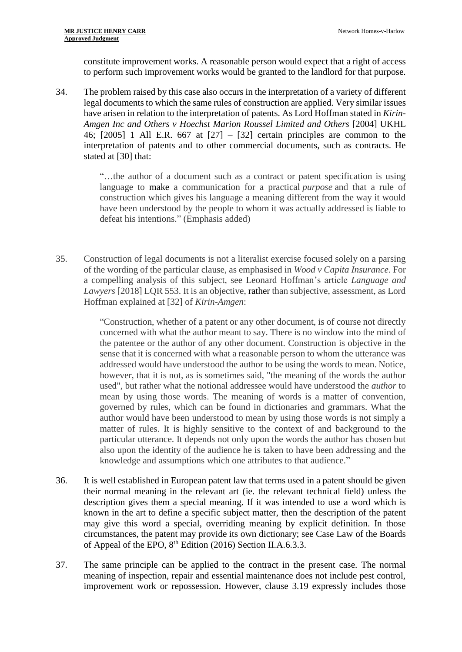constitute improvement works. A reasonable person would expect that a right of access to perform such improvement works would be granted to the landlord for that purpose.

34. The problem raised by this case also occurs in the interpretation of a variety of different legal documents to which the same rules of construction are applied. Very similar issues have arisen in relation to the interpretation of patents. As Lord Hoffman stated in *Kirin-Amgen Inc and Others v Hoechst Marion Roussel Limited and Others* [2004] UKHL 46; [2005] 1 All E.R. 667 at [27] – [32] certain principles are common to the interpretation of patents and to other commercial documents, such as contracts. He stated at [30] that:

> "…the author of a document such as a contract or patent specification is using language to make a communication for a practical *purpose* and that a rule of construction which gives his language a meaning different from the way it would have been understood by the people to whom it was actually addressed is liable to defeat his intentions." (Emphasis added)

35. Construction of legal documents is not a literalist exercise focused solely on a parsing of the wording of the particular clause, as emphasised in *Wood v Capita Insurance*. For a compelling analysis of this subject, see Leonard Hoffman's article *Language and Lawyers* [2018] LQR 553. It is an objective, rather than subjective, assessment, as Lord Hoffman explained at [32] of *Kirin-Amgen*:

> "Construction, whether of a patent or any other document, is of course not directly concerned with what the author meant to say. There is no window into the mind of the patentee or the author of any other document. Construction is objective in the sense that it is concerned with what a reasonable person to whom the utterance was addressed would have understood the author to be using the words to mean. Notice, however, that it is not, as is sometimes said, "the meaning of the words the author used", but rather what the notional addressee would have understood the *author* to mean by using those words. The meaning of words is a matter of convention, governed by rules, which can be found in dictionaries and grammars. What the author would have been understood to mean by using those words is not simply a matter of rules. It is highly sensitive to the context of and background to the particular utterance. It depends not only upon the words the author has chosen but also upon the identity of the audience he is taken to have been addressing and the knowledge and assumptions which one attributes to that audience."

- 36. It is well established in European patent law that terms used in a patent should be given their normal meaning in the relevant art (ie. the relevant technical field) unless the description gives them a special meaning. If it was intended to use a word which is known in the art to define a specific subject matter, then the description of the patent may give this word a special, overriding meaning by explicit definition. In those circumstances, the patent may provide its own dictionary; see Case Law of the Boards of Appeal of the EPO,  $8<sup>th</sup>$  Edition (2016) Section II.A.6.3.3.
- 37. The same principle can be applied to the contract in the present case. The normal meaning of inspection, repair and essential maintenance does not include pest control, improvement work or repossession. However, clause 3.19 expressly includes those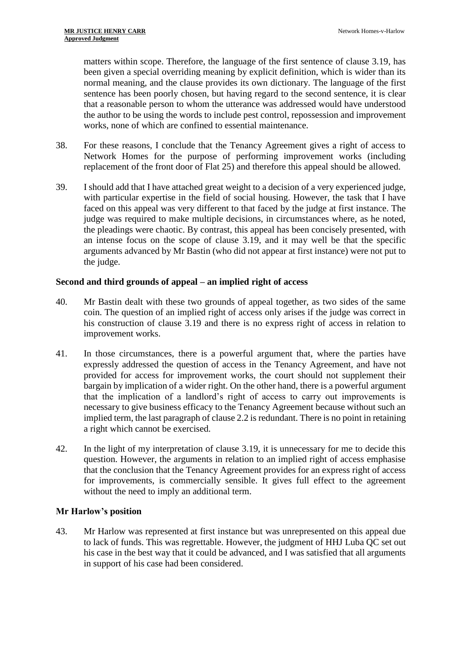matters within scope. Therefore, the language of the first sentence of clause 3.19, has been given a special overriding meaning by explicit definition, which is wider than its normal meaning, and the clause provides its own dictionary. The language of the first sentence has been poorly chosen, but having regard to the second sentence, it is clear that a reasonable person to whom the utterance was addressed would have understood the author to be using the words to include pest control, repossession and improvement works, none of which are confined to essential maintenance.

- 38. For these reasons, I conclude that the Tenancy Agreement gives a right of access to Network Homes for the purpose of performing improvement works (including replacement of the front door of Flat 25) and therefore this appeal should be allowed.
- 39. I should add that I have attached great weight to a decision of a very experienced judge, with particular expertise in the field of social housing. However, the task that I have faced on this appeal was very different to that faced by the judge at first instance. The judge was required to make multiple decisions, in circumstances where, as he noted, the pleadings were chaotic. By contrast, this appeal has been concisely presented, with an intense focus on the scope of clause 3.19, and it may well be that the specific arguments advanced by Mr Bastin (who did not appear at first instance) were not put to the judge.

# **Second and third grounds of appeal – an implied right of access**

- 40. Mr Bastin dealt with these two grounds of appeal together, as two sides of the same coin. The question of an implied right of access only arises if the judge was correct in his construction of clause 3.19 and there is no express right of access in relation to improvement works.
- 41. In those circumstances, there is a powerful argument that, where the parties have expressly addressed the question of access in the Tenancy Agreement, and have not provided for access for improvement works, the court should not supplement their bargain by implication of a wider right. On the other hand, there is a powerful argument that the implication of a landlord's right of access to carry out improvements is necessary to give business efficacy to the Tenancy Agreement because without such an implied term, the last paragraph of clause 2.2 is redundant. There is no point in retaining a right which cannot be exercised.
- 42. In the light of my interpretation of clause 3.19, it is unnecessary for me to decide this question. However, the arguments in relation to an implied right of access emphasise that the conclusion that the Tenancy Agreement provides for an express right of access for improvements, is commercially sensible. It gives full effect to the agreement without the need to imply an additional term.

# **Mr Harlow's position**

43. Mr Harlow was represented at first instance but was unrepresented on this appeal due to lack of funds. This was regrettable. However, the judgment of HHJ Luba QC set out his case in the best way that it could be advanced, and I was satisfied that all arguments in support of his case had been considered.